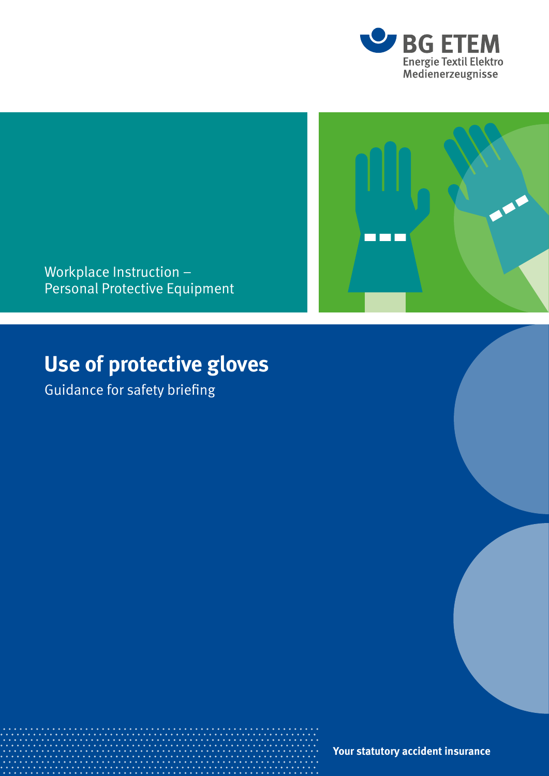



Workplace Instruction – Personal Protective Equipment

# **Use of protective gloves**

Guidance for safety briefing

**Your statutory accident insurance**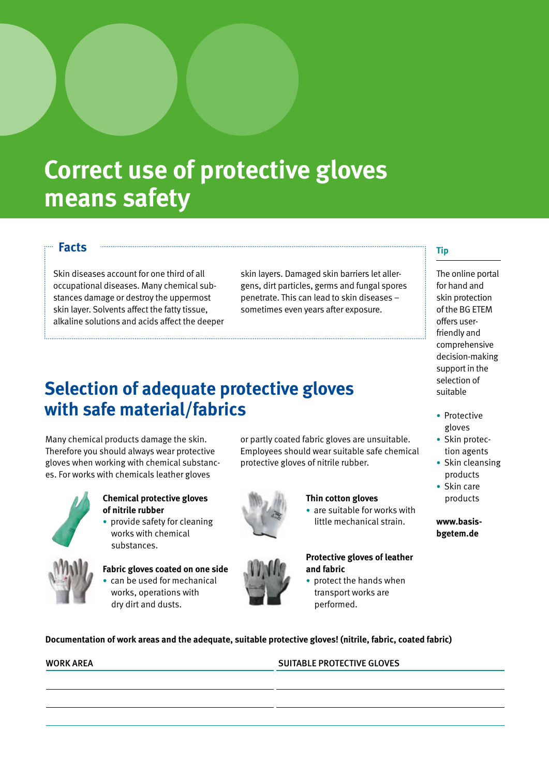# **Correct use of protective gloves means safety**

### **Facts**

Skin diseases account for one third of all occupational diseases. Many chemical substances damage or destroy the uppermost skin layer. Solvents affect the fatty tissue, alkaline solutions and acids affect the deeper

skin layers. Damaged skin barriers let allergens, dirt particles, germs and fungal spores penetrate. This can lead to skin diseases – sometimes even years after exposure.

## **Selection of adequate protective gloves with safe material/fabrics**

Many chemical products damage the skin. Therefore you should always wear protective gloves when working with chemical substances. For works with chemicals leather gloves



### **Chemical protective gloves of nitrile rubber**

• provide safety for cleaning works with chemical substances.



**Fabric gloves coated on one side**  • can be used for mechanical works, operations with dry dirt and dusts.

or partly coated fabric gloves are unsuitable. Employees should wear suitable safe chemical protective gloves of nitrile rubber.

#### **Thin cotton gloves**

• are suitable for works with little mechanical strain.

#### **Protective gloves of leather and fabric**

• protect the hands when transport works are performed.

### **Tip**

The online portal for hand and skin protection of the BG ETEM offers userfriendly and comprehensive decision-making support in the selection of suitable

- Protective gloves
- Skin protection agents
- Skin cleansing products
- Skin care products

#### **www.basisbgetem.de**



**Documentation of work areas and the adequate, suitable protective gloves! (nitrile, fabric, coated fabric)**

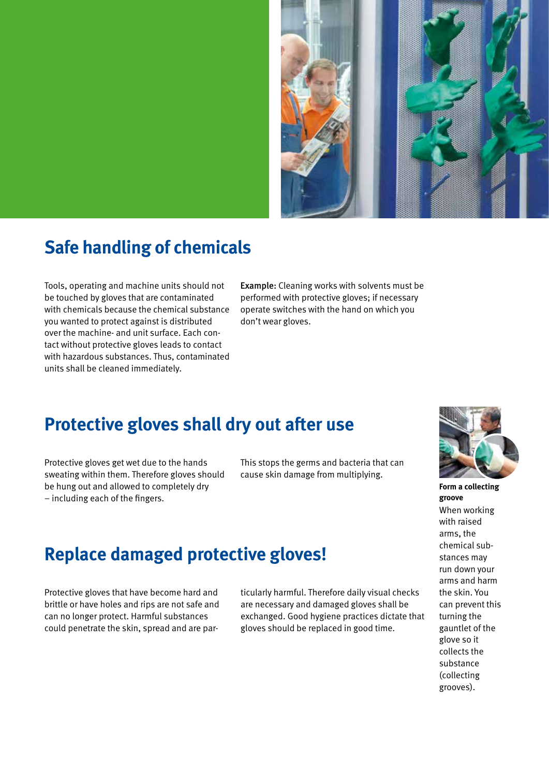

## **Safe handling of chemicals**

Tools, operating and machine units should not be touched by gloves that are contaminated with chemicals because the chemical substance you wanted to protect against is distributed over the machine- and unit surface. Each contact without protective gloves leads to contact with hazardous substances. Thus, contaminated units shall be cleaned immediately.

Example: Cleaning works with solvents must be performed with protective gloves; if necessary operate switches with the hand on which you don't wear gloves.

## **Protective gloves shall dry out after use**

Protective gloves get wet due to the hands sweating within them. Therefore gloves should be hung out and allowed to completely dry – including each of the fingers.

Protective gloves that have become hard and brittle or have holes and rips are not safe and can no longer protect. Harmful substances could penetrate the skin, spread and are parThis stops the germs and bacteria that can cause skin damage from multiplying.



**Form a collecting groove** When working with raised arms, the chemical substances may run down your arms and harm the skin. You can prevent this turning the gauntlet of the glove so it collects the substance (collecting grooves).

## **Replace damaged protective gloves!** ticularly harmful. Therefore daily visual checks are necessary and damaged gloves shall be exchanged. Good hygiene practices dictate that gloves should be replaced in good time.